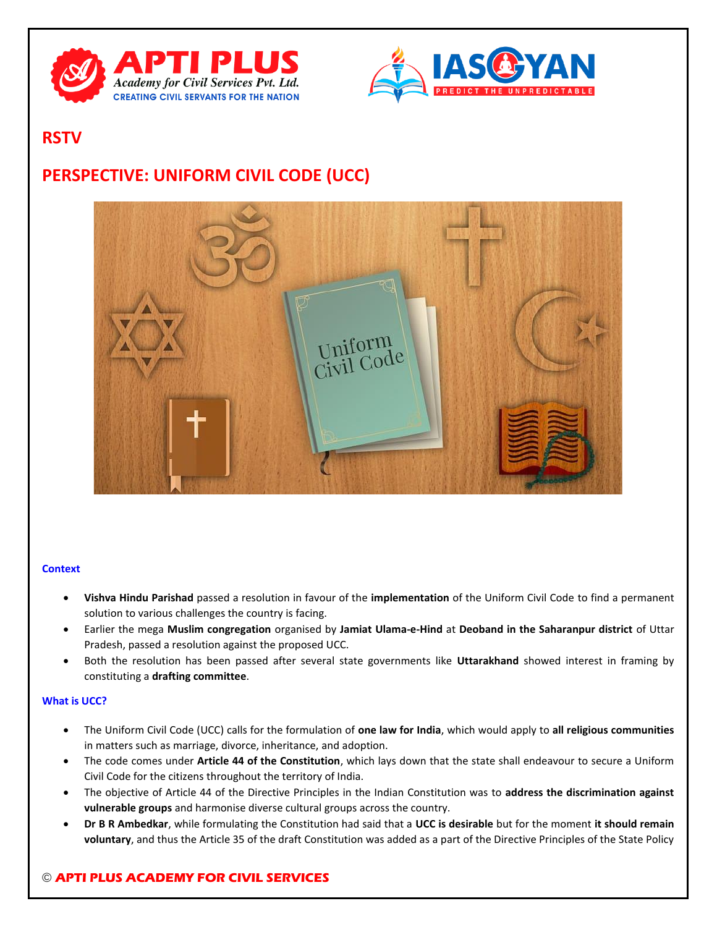



# **RSTV**

# **PERSPECTIVE: UNIFORM CIVIL CODE (UCC)**



## **Context**

- **Vishva Hindu Parishad** passed a resolution in favour of the **implementation** of the Uniform Civil Code to find a permanent solution to various challenges the country is facing.
- Earlier the mega **Muslim congregation** organised by **Jamiat Ulama-e-Hind** at **Deoband in the Saharanpur district** of Uttar Pradesh, passed a resolution against the proposed UCC.
- Both the resolution has been passed after several state governments like **Uttarakhand** showed interest in framing by constituting a **drafting committee**.

## **What is UCC?**

- The Uniform Civil Code (UCC) calls for the formulation of **one law for India**, which would apply to **all religious communities** in matters such as marriage, divorce, inheritance, and adoption.
- The code comes under **Article 44 of the Constitution**, which lays down that the state shall endeavour to secure a Uniform Civil Code for the citizens throughout the territory of India.
- The objective of Article 44 of the Directive Principles in the Indian Constitution was to **address the discrimination against vulnerable groups** and harmonise diverse cultural groups across the country.
- **Dr B R Ambedkar**, while formulating the Constitution had said that a **UCC is desirable** but for the moment **it should remain voluntary**, and thus the Article 35 of the draft Constitution was added as a part of the Directive Principles of the State Policy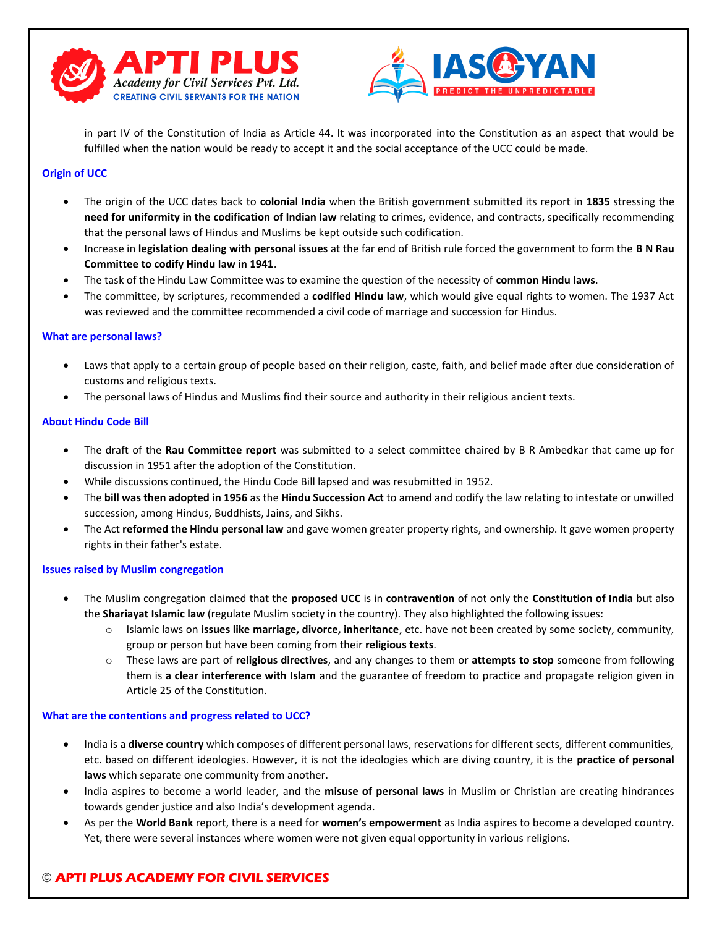



in part IV of the Constitution of India as Article 44. It was incorporated into the Constitution as an aspect that would be fulfilled when the nation would be ready to accept it and the social acceptance of the UCC could be made.

# **Origin of UCC**

- The origin of the UCC dates back to **colonial India** when the British government submitted its report in **1835** stressing the **need for uniformity in the codification of Indian law** relating to crimes, evidence, and contracts, specifically recommending that the personal laws of Hindus and Muslims be kept outside such codification.
- Increase in **legislation dealing with personal issues** at the far end of British rule forced the government to form the **B N Rau Committee to codify Hindu law in 1941**.
- The task of the Hindu Law Committee was to examine the question of the necessity of **common Hindu laws**.
- The committee, by scriptures, recommended a **codified Hindu law**, which would give equal rights to women. The 1937 Act was reviewed and the committee recommended a civil code of marriage and succession for Hindus.

## **What are personal laws?**

- Laws that apply to a certain group of people based on their religion, caste, faith, and belief made after due consideration of customs and religious texts.
- The personal laws of Hindus and Muslims find their source and authority in their religious ancient texts.

#### **About Hindu Code Bill**

- The draft of the **Rau Committee report** was submitted to a select committee chaired by B R Ambedkar that came up for discussion in 1951 after the adoption of the Constitution.
- While discussions continued, the Hindu Code Bill lapsed and was resubmitted in 1952.
- The **bill was then adopted in 1956** as the **Hindu Succession Act** to amend and codify the law relating to intestate or unwilled succession, among Hindus, Buddhists, Jains, and Sikhs.
- The Act **reformed the Hindu personal law** and gave women greater property rights, and ownership. It gave women property rights in their father's estate.

#### **Issues raised by Muslim congregation**

- The Muslim congregation claimed that the **proposed UCC** is in **contravention** of not only the **Constitution of India** but also the **Shariayat Islamic law** (regulate Muslim society in the country). They also highlighted the following issues:
	- o Islamic laws on **issues like marriage, divorce, inheritance**, etc. have not been created by some society, community, group or person but have been coming from their **religious texts**.
	- o These laws are part of **religious directives**, and any changes to them or **attempts to stop** someone from following them is **a clear interference with Islam** and the guarantee of freedom to practice and propagate religion given in Article 25 of the Constitution.

#### **What are the contentions and progress related to UCC?**

- India is a **diverse country** which composes of different personal laws, reservations for different sects, different communities, etc. based on different ideologies. However, it is not the ideologies which are diving country, it is the **practice of personal laws** which separate one community from another.
- India aspires to become a world leader, and the **misuse of personal laws** in Muslim or Christian are creating hindrances towards gender justice and also India's development agenda.
- As per the **World Bank** report, there is a need for **women's empowerment** as India aspires to become a developed country. Yet, there were several instances where women were not given equal opportunity in various religions.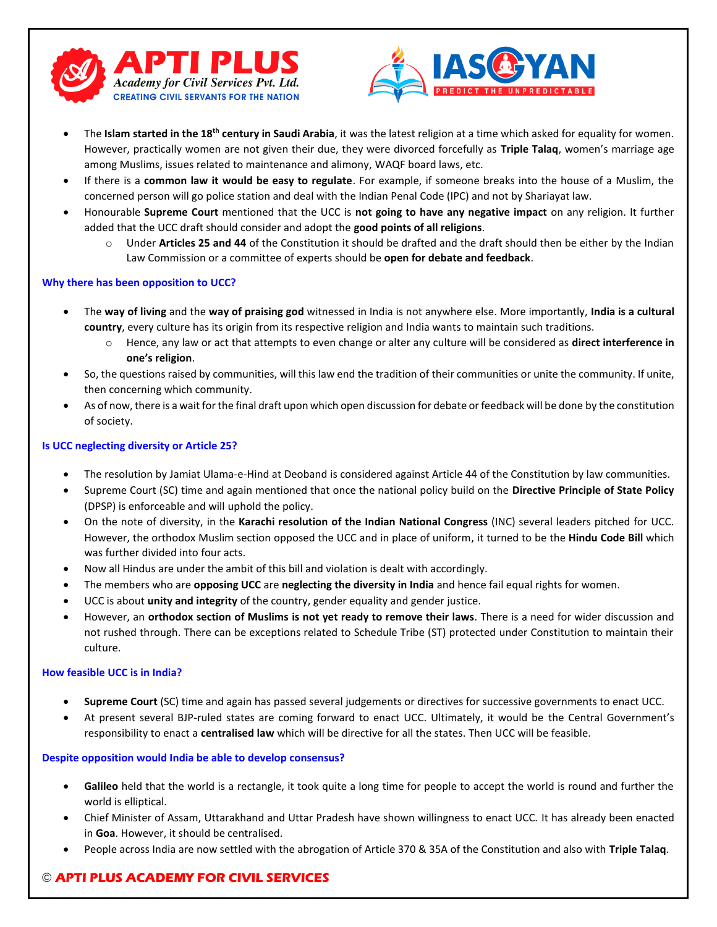



- The **Islam started in the 18th century in Saudi Arabia**, it was the latest religion at a time which asked for equality for women. However, practically women are not given their due, they were divorced forcefully as **Triple Talaq**, women's marriage age among Muslims, issues related to maintenance and alimony, WAQF board laws, etc.
- If there is a **common law it would be easy to regulate**. For example, if someone breaks into the house of a Muslim, the concerned person will go police station and deal with the Indian Penal Code (IPC) and not by Shariayat law.
- Honourable **Supreme Court** mentioned that the UCC is **not going to have any negative impact** on any religion. It further added that the UCC draft should consider and adopt the **good points of all religions**.
	- o Under **Articles 25 and 44** of the Constitution it should be drafted and the draft should then be either by the Indian Law Commission or a committee of experts should be **open for debate and feedback**.

# **Why there has been opposition to UCC?**

- The **way of living** and the **way of praising god** witnessed in India is not anywhere else. More importantly, **India is a cultural country**, every culture has its origin from its respective religion and India wants to maintain such traditions.
	- o Hence, any law or act that attempts to even change or alter any culture will be considered as **direct interference in one's religion**.
- So, the questions raised by communities, will this law end the tradition of their communities or unite the community. If unite, then concerning which community.
- As of now, there is a wait for the final draft upon which open discussion for debate or feedback will be done by the constitution of society.

## **Is UCC neglecting diversity or Article 25?**

- The resolution by Jamiat Ulama-e-Hind at Deoband is considered against Article 44 of the Constitution by law communities.
- Supreme Court (SC) time and again mentioned that once the national policy build on the **Directive Principle of State Policy**  (DPSP) is enforceable and will uphold the policy.
- On the note of diversity, in the **Karachi resolution of the Indian National Congress** (INC) several leaders pitched for UCC. However, the orthodox Muslim section opposed the UCC and in place of uniform, it turned to be the **Hindu Code Bill** which was further divided into four acts.
- Now all Hindus are under the ambit of this bill and violation is dealt with accordingly.
- The members who are **opposing UCC** are **neglecting the diversity in India** and hence fail equal rights for women.
- UCC is about **unity and integrity** of the country, gender equality and gender justice.
- However, an **orthodox section of Muslims is not yet ready to remove their laws**. There is a need for wider discussion and not rushed through. There can be exceptions related to Schedule Tribe (ST) protected under Constitution to maintain their culture.

## **How feasible UCC is in India?**

- **Supreme Court** (SC) time and again has passed several judgements or directives for successive governments to enact UCC.
- At present several BJP-ruled states are coming forward to enact UCC. Ultimately, it would be the Central Government's responsibility to enact a **centralised law** which will be directive for all the states. Then UCC will be feasible.

## **Despite opposition would India be able to develop consensus?**

- **Galileo** held that the world is a rectangle, it took quite a long time for people to accept the world is round and further the world is elliptical.
- Chief Minister of Assam, Uttarakhand and Uttar Pradesh have shown willingness to enact UCC. It has already been enacted in **Goa**. However, it should be centralised.
- People across India are now settled with the abrogation of Article 370 & 35A of the Constitution and also with **Triple Talaq**.